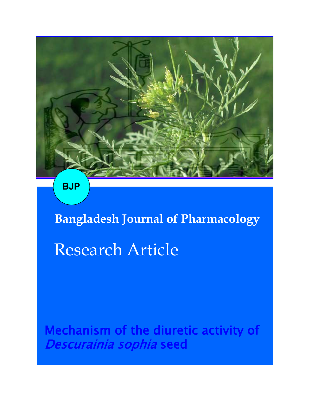

**BJP**

**Bangladesh Journal of Pharmacology**  Research Article

Mechanism of the diuretic activity of Descurainia sophia seed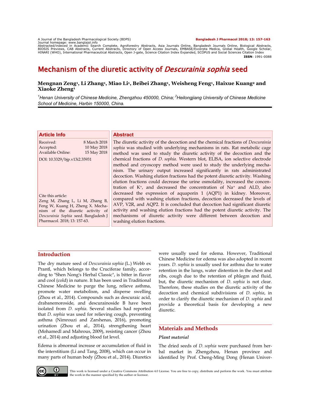A Journal of the Bangladesh Pharmacological Society (BDPS)<br>Journal homepage: www.banglajol.info<br>Abstracted/indexed in Academic Search Complete, Agroforestry Abstracts, Asia Journals Online, Bangladesh Journals Online, Biol **ISSN**: 1991-0088

# Mechanism of the diuretic activity of *Descurainia sophia* seed

## **Mengnan Zeng<sup>1</sup> , Li Zhang<sup>1</sup> , Miao Li<sup>1</sup> , Beibei Zhang<sup>1</sup> , Weisheng Feng<sup>1</sup> , Haixue Kuang<sup>2</sup> and Xiaoke Zheng<sup>1</sup>**

*<sup>1</sup>Henan University of Chinese Medicine, Zhengzhou 450000, China; <sup>2</sup>Heilongjiang University of Chinese Medicine School of Medicine, Harbin 150000, China.*

| <b>Article Info</b>                   |              | <b>Abstract</b>                                                                         |
|---------------------------------------|--------------|-----------------------------------------------------------------------------------------|
| Received:                             | 8 March 2018 | The diuretic activity of the decoction and the chemical fractions of <i>Descurainia</i> |
| Accepted:                             | 10 May 2018  | sophia was studied with underlying mechanisms in rats. Rat metabolic cage               |
| Available Online:                     | 15 May 2018  | method was used to study the diuretic activity of the decoction and the                 |
| DOI: 10.3329/bjp.v13i2.35931          |              | chemical fractions of <i>D. sophia</i> . Western blot, ELISA, ion selective electrode   |
|                                       |              | method and cryoscopy method were used to study the underlying mecha-                    |
|                                       |              | nism. The urinary output increased significantly in rats administrated                  |
|                                       |              | decoction. Washing elution fractions had the potent diuretic activity. Washing          |
|                                       |              | elution fractions could decrease the urine osmolality, increased the concen-            |
|                                       |              | tration of $K^+$ , and decreased the concentration of $Na^+$ and ALD, also              |
| Cite this article:                    |              | decreased the expression of aquaporin 1 (AQP1) in kidney. Moreover,                     |
| Zeng M, Zhang L, Li M, Zhang B,       |              | compared with washing elution fractions, decoction decreased the levels of              |
| Feng W, Kuang H, Zheng X. Mecha-      |              | AVP, V2R, and AQP2. It is concluded that decoction had significant diuretic             |
| nism of the diuretic activity of      |              | activity and washing elution fractions had the potent diuretic activity. The            |
| Descurainia Sophia seed. Bangladesh J |              | mechanisms of diuretic activity were different between decoction and                    |
| Pharmacol. 2018; 13: 157-63.          |              | washing elution fractions.                                                              |
|                                       |              |                                                                                         |

# **Introduction**

The dry mature seed of *Descurainia sophia* (L.) Webb ex Prantl, which belongs to the Cruciferae family, according to "Shen Nong's Herbal Classic", is bitter in flavor and cool (cold) in nature. It has been used in Traditional Chinese Medicine to purge the lung, relieve asthma, promote water metabolism, and disperse swelling (Zhou et al., 2014). Compounds such as descuraic acid, drabanemoroside, and descurainoside B have been isolated from *D. sophia*. Several studies had reported that *D. sophia* was used for relieving cough, preventing asthma (Nimrouzi and Zarshenas, 2016), promoting urination (Zhou et al., 2014), strengthening heart (Mohamedl and Mahrous, 2009), resisting cancer (Zhou et al., 2014) and adjusting blood fat level.

Edema is abnormal increase or accumulation of fluid in the interstitium (Li and Tang, 2008), which can occur in many parts of human body (Zhou et al., 2014). Diuretics

were usually used for edema. However, Traditional Chinese Medicine for edema was also adopted in recent years. *D. sophia* is usually used for asthma due to water retention in the lungs, water distention in the chest and ribs, cough due to the retention of phlegm and fluid, but, the diuretic mechanism of *D. sophia* is not clear. Therefore, these studies on the diuretic activity of the decoction and chemical subdivisions of *D. sophia*, in order to clarify the diuretic mechanism of *D. sophia* and provide a theoretical basis for developing a new diuretic.

# **Materials and Methods**

## *Plant material*

The dried seeds of *D. sophia* were purchased from herbal market in Zhengzhou, Henan province and identified by Prof. Cheng-Ming Dong (Henan Univer-



This work is licensed under a Creative Commons Attribution 4.0 License. You are free to copy, distribute and perform the work. You must attribute the work in the manner specified by the author or licensor.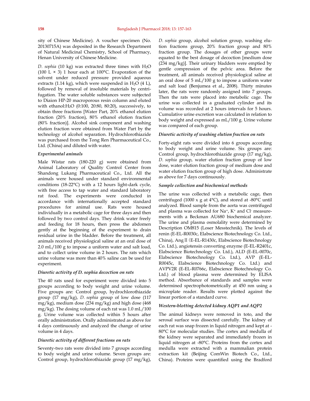sity of Chinese Medicine). A voucher specimen (No. 20130715A) was deposited in the Research Department of Natural Medicinal Chemistry, School of Pharmacy, Henan University of Chinese Medicine.

*D. sophia* (10 kg) was extracted three times with H2O (100 L  $\times$  3) 1 hour each at 100°C. Evaporation of the solvent under reduced pressure provided aqueous extracts (1.14 kg), which were suspended in H<sub>2</sub>O (4 L), followed by removal of insoluble materials by centrifugation. The water soluble substances were subjected to Diaion HP-20 macroporous resin column and eluted with ethanol:H2O (0:100, 20:80, 80:20), successively, to obtain three fractions [Water Part, 20% ethanol elution fraction (20% fraction), 80% ethanol elution fraction (80% fraction)]. Alcohol sink component and washing elution fraction were obtained from Water Part by the technology of alcohol separation. Hydrochlorothiazide was purchased from the Tong Ren Pharmaceutical Co., Ltd. (China) and diluted with water.

#### *Experimental animals*

Male Wistar rats (180-220 g) were obtained from Animal Laboratory of Quality Control Center from Shandong Lukang Pharmaceutical Co., Ltd. All the animals were housed under standard environmental conditions (18-22°C) with a 12 hours light-dark cycle, with free access to tap water and standard laboratory rat food. The experiments were conducted in accordance with internationally accepted standard procedures for animal use. Rats were housed individually in a metabolic cage for three days and then followed by two control days. They drink water freely and feeding for 18 hours, then press the abdomen gently at the beginning of the experiment to drain residual urine in the bladder. Before the treatment, all animals received physiological saline at an oral dose of 2.0 mL/100 g to impose a uniform water and salt load, and to collect urine volume in 2 hours. The rats which urine volume was more than 40% saline can be used for experiment.

#### *Diuretic activity of D. sophia decoction on rats*

The 40 rats used for experiment were divided into 5 groups according to body weight and urine volume. Five groups are: Control group, hydrochlorothiazide group (17 mg/kg), *D. sophia* group of low dose (117 mg/kg), medium dose (234 mg/kg) and high dose (468 mg/kg). The dosing volume of each rat was 1.0 mL/100 g. Urine volume was collected within 5 hours after orally administration. Orally administrated as above for 4 days continuously and analyzed the change of urine volume in 4 days.

#### *Diuretic activity of different fractions on rats*

Seventy-two rats were divided into 7 groups according to body weight and urine volume. Seven groups are: Control group, hydrochlorothiazide group (17 mg/kg), *D. sophia* group, alcohol solution group, washing elution fractions group, 20% fraction group and 80% fraction group. The dosages of other groups were equated to the best dosage of decoction [medium dose (234 mg/kg)]. Their urinary bladders were emptied by gentle compression of the pelvic area. Before the treatment, all animals received physiological saline at an oral dose of 5 mL/100 g to impose a uniform water and salt load (Benjumea et al., 2008). Thirty minutes later, the rats were randomly assigned into 7 groups. Then the rats were placed into metabolic cage. The urine was collected in a graduated cylinder and its volume was recorded at 2 hours intervals for 5 hours. Cumulative urine excretion was calculated in relation to body weight and expressed as mL/100 g. Urine volume was compared of each group.

#### *Diuretic activity of washing elution fraction on rats*

Forty-eight rats were divided into 6 groups according to body weight and urine volume. Six groups are: Control group, hydrochlorothiazide group (17 mg/kg), *D. sophia* group, water elution fraction group of low dose, water elution fraction group of medium dose and water elution fraction group of high dose. Administrate as above for 7 days continuously.

#### *Sample collection and biochemical methods*

The urine was collected with a metabolic cage, then centrifuged (1000 x g at  $4^{\circ}$ C), and stored at -80 $^{\circ}$ C until analyzed. Blood sample from the aorta was centrifuged and plasma was collected for Na+, K+ and Cl- measurements with a Beckman AU680 biochemical analyzer. The urine and plasma osmolality were determined by Description OM815 (Loser Messtechnik). The levels of renin (E-EL-R0030c, Elabscience Biotechnology Co. Ltd., China), AngⅡ(E-EL-R1430c, Elabscience Biotechnology Co. Ltd.), angiotensin converting enzyme (E-EL-R2401c, Elabscience Biotechnology Co. Ltd.), ALD (E-EL-0070c, Elabscience Biotechnology Co. Ltd.), AVP (E-EL-R0045c, Elabscience Biotechnology Co. Ltd.) and AVPV2R (E-EL-R0766c, Elabscience Biotechnology Co. Ltd.) of blood plasma were determined by ELISA method. Absorbance of standards and samples were determined spectrophotometrically at 450 nm using a microplate reader. Results were plotted against the linear portion of a standard curve.

### *Western-blotting detected kidney AQP1 and AQP2*

The animal kidneys were removed in toto, and the serosal surface was dissected carefully. The kidney of each rat was snap frozen in liquid nitrogen and kept at - 80°C for molecular studies. The cortex and medulla of the kidney were separated and immediately frozen in liquid nitrogen at -80°C. Proteins from the cortex and medulla were extracted with a mammalian protein extraction kit (Beijing ComWin Biotech Co., Ltd., China). Proteins were quantified using the Bradford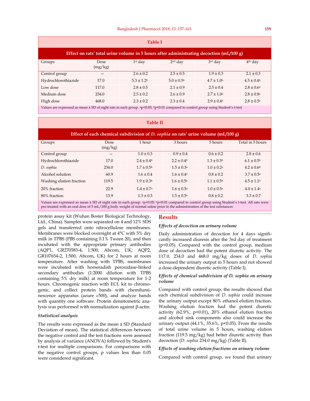| <b>Table I</b>                                                                                                                                           |                 |                       |                       |                          |                       |  |  |  |
|----------------------------------------------------------------------------------------------------------------------------------------------------------|-----------------|-----------------------|-----------------------|--------------------------|-----------------------|--|--|--|
| Effect on rats' total urine volume in 5 hours after administrating decoction $(mL/100 g)$                                                                |                 |                       |                       |                          |                       |  |  |  |
| Groups                                                                                                                                                   | Dose<br>(mg/kg) | $1st$ day             | $2nd$ day             | 3rd day                  | $4th$ day             |  |  |  |
| Control group                                                                                                                                            |                 | $2.6 \pm 0.2$         | $2.5 \pm 0.5$         | $1.9 \pm 0.3$            | $2.1 \pm 0.3$         |  |  |  |
| Hydrochlorothiazide                                                                                                                                      | 17.0            | $5.3 \pm 1.2^{\circ}$ | $5.0 \pm 0.5^{\rm b}$ | $4.7 \pm 1.0$            | $4.5 \pm 0.4^{\rm b}$ |  |  |  |
| Low dose                                                                                                                                                 | 117.0           | $2.8 \pm 0.5$         | $2.1 \pm 0.9$         | $2.5 \pm 0.4$            | $2.8 \pm 0.6^{\rm a}$ |  |  |  |
| Medium dose                                                                                                                                              | 234.0           | $2.5 \pm 0.2$         | $2.6 \pm 0.9$         | $2.7 \pm 1.0^{\text{a}}$ | $2.8 \pm 0.8^{\rm a}$ |  |  |  |
| High dose                                                                                                                                                | 468.0           | $2.3 \pm 0.2$         | $2.3 \pm 0.4$         | $2.9 \pm 0.4^{\circ}$    | $2.8 \pm 0.5^{\rm a}$ |  |  |  |
| Values are expressed as mean ± SD of eight rats in each group. <sup>a</sup> p<0.05; <sup>b</sup> p<0.01 compared to control group using Student's t-test |                 |                       |                       |                          |                       |  |  |  |

#### **Table II**

| Effect of each chemical subdivision of <i>D. sophia</i> on rats' urine volume (mL/100 g)                                                        |                 |                       |                          |                       |                       |  |  |
|-------------------------------------------------------------------------------------------------------------------------------------------------|-----------------|-----------------------|--------------------------|-----------------------|-----------------------|--|--|
| Groups                                                                                                                                          | Dose<br>(mg/kg) | 1 hour                | 3 hours                  | 5 hours               | Total in 5 hours      |  |  |
| Control group                                                                                                                                   |                 | $1.0 \pm 0.3$         | $0.9 \pm 0.4$            | $0.6 \pm 0.2$         | $2.8 \pm 0.6$         |  |  |
| Hydrochlorothiazide                                                                                                                             | 17.0            | $2.4 \pm 0.4^{\circ}$ | $2.2 \pm 0.4^{\circ}$    | $1.3 \pm 0.3^{\circ}$ | $6.1 \pm 0.5^{\rm b}$ |  |  |
| D. sophia                                                                                                                                       | 234.0           | $1.7 \pm 0.5$         | $1.5 \pm 0.3a$           | $1.0 \pm 0.2a$        | $4.2 \pm 0.6$         |  |  |
| Alcohol solution                                                                                                                                | 60.9            | $1.6 \pm 0.4$         | $1.6 \pm 0.4^{\text{a}}$ | $0.8 \pm 0.2$         | $3.7 \pm 0.5^{\rm a}$ |  |  |
| Washing elution fraction                                                                                                                        | 119.5           | $1.9 \pm 0.3b$        | $1.6 \pm 0.5$            | $1.1 \pm 0.5$         | $4.5 \pm 1.1$         |  |  |
| 20% fraction                                                                                                                                    | 22.9            | $1.4 \pm 0.7a$        | $1.6 \pm 0.5^{\circ}$    | $1.0 \pm 0.5^{\circ}$ | $4.0 \pm 1.4a$        |  |  |
| 80% fraction                                                                                                                                    | 13.9            | $1.3 \pm 0.3$         | $1.5 \pm 0.5^{\circ}$    | $0.8 \pm 0.2$         | $3.3 \pm 0.7$         |  |  |
| Values are expressed as mean ± SD of eight rats in each group. ap<0.05; bp<0.01 compared to control group using Student's t-test. All rats were |                 |                       |                          |                       |                       |  |  |

pre-treated with an oral dose of 5 mL/100 g body weight of normal saline prior to the administration of the test substances

protein assay kit (Wuhan Boster Biological Technology, Ltd., China). Samples were separated on 4 and 12% SDS gels and transferred onto nitrocellulose membranes. Membranes were blocked overnight at 4°C with 5% dry milk in TPBS (PBS containing 0.1% Tween 20), and then incubated with the appropriate primary antibodies (AQP1, GR270583-4, 1:500, Abcom, UK; AQP2, GR107654-2, 1:500, Abcom, UK) for 2 hours at room temperature. After washing with TPBS, membranes were incubated with horseradish peroxidase-linked secondary antibodies (1:2000 dilution with TPBS containing 5% dry milk) at room temperature for 1-2 hours. Chromogenic reaction with ECL kit to chromogenic, and collect protein bands with chemiluminescence apparatus (azure c500), and analyze bands with quantity one software. Protein densitometric analysis was performed with normalization against β-actin.

#### *Statistical analysis*

The results were expressed as the mean ± SD (Standard Deviation of mean). The statistical differences between the negative control and the test fractions were assessed by analysis of variance (ANOVA) followed by Student's t-test for multiple comparisons. For comparisons with the negative control groups, p values less than 0.05 were considered significant.

## **Results**

#### *Effects of decoction on urinary volume*

Daily administration of decoction for 4 days significantly increased diuresis after the 3rd day of treatment (p<0.05). Compared with the control group, medium dose of decoction had the potent diuretic activity. The 117.0, 234.0 and 468.0 mg/kg doses of *D. sophia* increased the urinary output in 5 hours and not showed a dose-dependent diuretic activity (Table I).

#### *Effects of chemical subdivision of D. sophia on urinary volume*

Compared with control group, the results showed that each chemical subdivision of *D. sophia* could increase the urinary output except 80% ethanol elution fraction. Washing elution fraction had the potent diuretic activity (62.9%, p<0.01), 20% ethanol elution fraction and alcohol sink components also could increase the urinary output (44.1%, 35.6%, p<0.05). From the results of total urine volume in 5 hours, washing elution fraction (119.5 mg/kg) had better diuretic activity than decoction (*D. sophia* 234.0 mg/kg) (Table II).

## *Effects of washing elution fractions on urinary volume*

Compared with control group, we found that urinary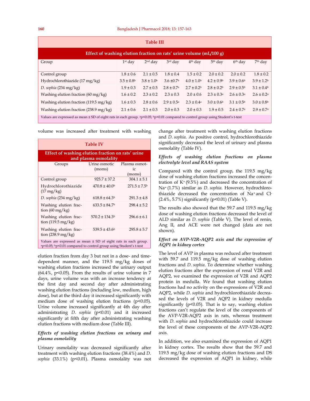| <b>Table III</b>                                                                                                                          |                            |                 |                            |                       |                       |                            |                            |  |
|-------------------------------------------------------------------------------------------------------------------------------------------|----------------------------|-----------------|----------------------------|-----------------------|-----------------------|----------------------------|----------------------------|--|
| Effect of washing elution fraction on rats' urine volume $(mL/100 g)$                                                                     |                            |                 |                            |                       |                       |                            |                            |  |
| Group                                                                                                                                     | $1st$ day                  | $2nd$ day       | $3rd$ day                  | 4 <sup>th</sup> day   | 5 <sup>th</sup> day   | 6 <sup>th</sup> day        | $7th$ day                  |  |
| Control group                                                                                                                             | $1.8 \pm 0.6$              | $2.1 \pm 0.5$   | $1.8 \pm 0.4$              | $1.5 \pm 0.2$         | $2.0 \pm 0.2$         | $2.0 \pm 0.2$              | $1.8 \pm 0.2$              |  |
| Hydrochlorothiazide (17 mg/kg)                                                                                                            | $3.5 \pm 0.8$ <sup>b</sup> | $3.8 \pm 1.0^b$ | $3.6 \pm 0.7$              | $4.0 \pm 1.0^b$       | $4.2 \pm 0.9^{\rm b}$ | $3.9 \pm 0.6^{\circ}$      | $3.9 \pm 1.2$              |  |
| D. sophia $(234 \text{ mg/kg})$                                                                                                           | $1.9 \pm 0.3$              | $2.7 \pm 0.5$   | $2.8 \pm 0.7$ <sup>a</sup> | $2.7 \pm 0.2^b$       | $2.8 \pm 0.2^b$       | $2.9 \pm 0.5^{\rm b}$      | $3.1 \pm 0.4^b$            |  |
| Washing elution fraction $(60 \text{ mg/kg})$                                                                                             | $1.6 \pm 0.2$              | $2.3 \pm 0.2$   | $2.3 \pm 0.3$              | $2.0 \pm 0.6$         | $2.3 \pm 0.3^{\rm a}$ | $2.6 \pm 0.3^{\rm a}$      | $2.6 \pm 0.2^{\rm a}$      |  |
| Washing elution fraction $(119.5 \text{ mg/kg})$                                                                                          | $1.6 \pm 0.3$              | $2.8 \pm 0.6$   | $2.9 \pm 0.5^{\rm a}$      | $2.3 \pm 0.4^{\circ}$ | $3.0 \pm 0.6^{\circ}$ | $3.1 \pm 0.5^{\rm b}$      | $3.0 \pm 0.8$              |  |
| Washing elution fraction $(238.9 \text{ mg/kg})$                                                                                          | $2.1 \pm 0.6$              | $2.1 \pm 0.3$   | $2.0 \pm 0.3$              | $2.0 \pm 0.3$         | $1.9 \pm 0.5$         | $2.4 \pm 0.7$ <sup>a</sup> | $2.9 \pm 0.7$ <sup>a</sup> |  |
| Values are expressed as mean $\pm$ SD of eight rats in each group. $ap<0.05$ ; $bp<0.01$ compared to control group using Student's t-test |                            |                 |                            |                       |                       |                            |                            |  |

volume was increased after treatment with washing

| <b>Table IV</b>                                                                                                                         |                          |                                              |  |  |  |  |
|-----------------------------------------------------------------------------------------------------------------------------------------|--------------------------|----------------------------------------------|--|--|--|--|
| Effect of washing elution fraction on rats' urine<br>and plasma osmolality                                                              |                          |                                              |  |  |  |  |
| Groups                                                                                                                                  | Urine osmotic<br>(moms)  | Plasma osmot-<br>$i_{\mathcal{C}}$<br>(moms) |  |  |  |  |
| Control group                                                                                                                           | $925.7 \pm 37.2$         | $304.1 \pm 5.1$                              |  |  |  |  |
| Hydrochlorothiazide<br>$(17 \text{ mg/kg})$                                                                                             | $470.8 \pm 40.0^{\circ}$ | $271.5 \pm 7.5$                              |  |  |  |  |
| D. sophia $(234 \text{ mg/kg})$                                                                                                         | $618.8 \pm 64.3$         | $291.3 \pm 4.8$                              |  |  |  |  |
| Washing elution frac-<br>tion $(60 \text{ mg/kg})$                                                                                      | $633.5 \pm 84.7$         | $298.4 \pm 5.2$                              |  |  |  |  |
| Washing elution frac-<br>tion $(119.5 \text{ mg/kg})$                                                                                   | $570.2 \pm 134.3$        | $296.6 \pm 6.1$                              |  |  |  |  |
| Washing elution frac-<br>tion $(238.9 \text{ mg/kg})$                                                                                   | $539.5 \pm 43.6^{\circ}$ | $295.8 \pm 5.7$                              |  |  |  |  |
| Values are expressed as mean $\pm$ SD of eight rats in each group.<br>ap<0.05; bp<0.01 compared to control group using Student's t-test |                          |                                              |  |  |  |  |

elution fraction from day 3 but not in a dose- and timedependent manner, and the 119.5 mg/kg doses of washing elution fractions increased the urinary output  $(64.4\%$ , p<0.05). From the results of urine volume in 7 days, urine volume was with an increase tendency at the first day and second day after administrating washing elution fractions (including low, medium, high dose), but at the third day it increased significantly with medium dose of washing elution fractions (p<0.05). Urine volume increased significantly at 4th day after administrating *D. sophia* (p<0.01) and it increased significantly at fifth day after administrating washing elution fractions with medium dose (Table III).

#### *Effects of washing elution fractions on urinary and plasma osmolality*

Urinary osmolality was decreased significantly after treatment with washing elution fractions (38.4%) and *D. sophia* (33.1%) (p<0.01). Plasma osmolality was not change after treatment with washing elution fractions and *D. sophia*. As positive control, hydrochlorothiazide significantly decreased the level of urinary and plasma osmolality (Table IV).

## *Effects of washing elution fractions on plasma electrolyte level and RAAS system*

Compared with the control group, the 119.5 mg/kg dose of washing elution fractions increased the concentration of  $K^{+}(9.5\%)$  and decreased the concentration of Na+ (1.7%) similar as *D. sophia*. However, hydrochlorothiazide decreased the concentration of Na+ and Cl- (2.4%, 5.7%) significantly (p<0.01) (Table V).

The results also showed that the 59.7 and 119.5 mg/kg dose of washing elution fractions decreased the level of ALD similar as *D. sophia* (Table V). The level of renin, Ang II, and ACE were not changed (data are not shown).

## *Effect on AVP-V2R-AQP2 axis and the expression of AQP1 in kidney cortex*

The level of AVP in plasma was reduced after treatment with 59.7 and 119.5 mg/kg dose of washing elution fractions and *D. sophia*. To determine whether washing elution fractions alter the expression of renal V2R and AQP2, we examined the expression of V2R and AQP2 protein in medulla. We found that washing elution fractions had no activity on the expressions of V2R and AQP2, while *D. sophia* and hydrochlorothiazide decreased the levels of V2R and AQP2 in kidney medulla significantly (p<0.05). That is to say, washing elution fractions can't regulate the level of the components of the AVP-V2R-AQP2 axis in rats, whereas treatment with *D. sophia* and hydrochlorothiazide could increase the level of these components of the AVP-V2R-AQP2 axis.

In addition, we also examined the expression of AQP1 in kidney cortex. The results show that the 59.7 and 119.5 mg/kg dose of washing elution fractions and DS decreased the expression of AQP1 in kidney, while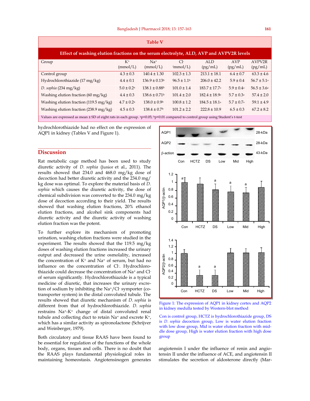| <b>Table V</b>                                                                                                                                           |                       |                               |                             |                               |                            |                        |  |  |
|----------------------------------------------------------------------------------------------------------------------------------------------------------|-----------------------|-------------------------------|-----------------------------|-------------------------------|----------------------------|------------------------|--|--|
| Effect of washing elution fractions on the serum electrolyte, ALD, AVP and AVPV2R levels                                                                 |                       |                               |                             |                               |                            |                        |  |  |
| Group                                                                                                                                                    | $K^+$<br>(mmol/L)     | $Na+$<br>(mmol/L)             | $Cl-$<br>(mmol/L)           | ALD.<br>(pg/mL)               | AVP<br>(pg/mL)             | AVPV2R<br>(pg/mL)      |  |  |
| Control group                                                                                                                                            | $4.3 \pm 0.3$         | $140.4 \pm 1.30$              | $102.3 \pm 1.3$             | $213.1 \pm 18.1$              | $6.4 \pm 0.7$              | $63.3 \pm 4.6$         |  |  |
| Hydrochlorothiazide (17 mg/kg)                                                                                                                           | $4.4 \pm 0.1$         | $136.9 \pm 0.13$ <sup>b</sup> | $96.5 \pm 1.1$ <sup>b</sup> | $206.0 \pm 42.2$              | $5.9 \pm 0.4$              | $56.7 \pm 5.1^{\circ}$ |  |  |
| D. sophia $(234 \text{ mg/kg})$                                                                                                                          | $5.0 \pm 0.2^{\rm a}$ | $138.1 \pm 0.88$ <sup>b</sup> | $101.0 \pm 1.4$             | $183.7 \pm 17.7$ <sup>a</sup> | $5.9 \pm 0.4^{\circ}$      | $56.5 \pm 3.6^{\circ}$ |  |  |
| Washing elution fraction $(60 \text{ mg/kg})$                                                                                                            | $4.4 \pm 0.3$         | $138.6 \pm 0.71$ <sup>b</sup> | $101.4 \pm 2.0$             | $182.4 \pm 18.9^{\circ}$      | $5.7 \pm 0.3a$             | $57.4 \pm 2.0$         |  |  |
| Washing elution fraction $(119.5 \text{ mg/kg})$                                                                                                         | $4.7 \pm 0.2^{\rm a}$ | $138.0 \pm 0.9$ <sup>b</sup>  | $100.8 \pm 1.2$             | $184.5 \pm 18.1^{\circ}$      | $5.7 \pm 0.7$ <sup>a</sup> | $59.1 \pm 4.9$         |  |  |
| Washing elution fraction $(238.9 \text{ mg/kg})$                                                                                                         | $4.5 \pm 0.3$         | $138.4 \pm 0.7$ <sup>b</sup>  | $101.2 \pm 2.2$             | $222.8 \pm 10.9$              | $6.5 \pm 0.3$              | $67.2 \pm 8.2$         |  |  |
| Values are expressed as mean ± SD of eight rats in each group. <sup>a</sup> p<0.05; <sup>b</sup> p<0.01 compared to control group using Student's t-test |                       |                               |                             |                               |                            |                        |  |  |

hydrochlorothiazide had no effect on the expression of AQP1 in kidney (Tables V and Figure 1).

## **Discussion**

Rat metabolic cage method has been used to study diuretic activity of *D. sophia* (Junior et al., 2011). The results showed that 234.0 and 468.0 mg/kg dose of decoction had better diuretic activity and the 234.0 mg/ kg dose was optimal. To explore the material basis of *D. sophia* which causes the diuretic activity, the dose of chemical subdivision was converted to the 234.0 mg/kg dose of decoction according to their yield. The results showed that washing elution fractions, 20% ethanol elution fractions, and alcohol sink components had diuretic activity and the diuretic activity of washing elution fraction was the potent.

To further explore its mechanism of promoting urination, washing elution fractions were studied in the experiment. The results showed that the 119.5 mg/kg doses of washing elution fractions increased the urinary output and decreased the urine osmolality, increased the concentration of  $K^+$  and  $Na^+$  of serum, but had no influence on the concentration of Cl- . Hydrochlorothiazide could decrease the concentration of Na+ and Clof serum significantly. Hydrochlorothiazide is a typical medicine of diuretic, that increases the urinary excretion of sodium by inhibiting the Na+/Cl- symporter (cotransporter system) in the distal convoluted tubule. The results showed that diuretic mechanism of *D. sophia* is different from that of hydrochlorothiazide. *D. sophia* restrains Na+-K+ change of distal convoluted renal tubule and collecting duct to retain Na<sup>+</sup> and excrete K<sup>+</sup>, which has a similar activity as spironolactone (Schrijver and Weinberger, 1979).

Both circulatory and tissue RAAS have been found to be essential for regulation of the functions of the whole body, organs, tissues and cells. There is no doubt that the RAAS plays fundamental physiological roles in maintaining homeostasis. Angiotensinogen generates



Figure 1: The expression of AQP1 in kidney cortex and AQP2 in kidney medulla tested by Western-blot method

Con is control group, HCTZ is hydrochlorothiazide group, DS is *D. sophia* decoction group, Low is water elution fraction with low dose group, Mid is water elution fraction with middle dose group, High is water elution fraction with high dose group

angiotensin I under the influence of renin and angiotensin II under the influence of ACE, and angiotensin II stimulates the secretion of aldosterone directly (Mar-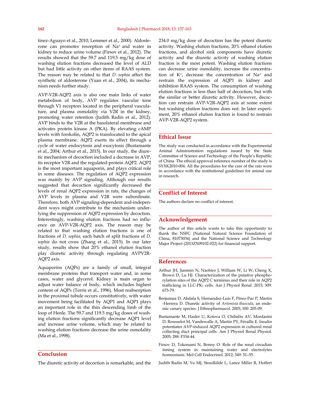tinez-Aguayo et al., 2010; Lemmer et al., 2000). Aldosterone can promotes resorption of Na+ and water in kidney to reduce urine volume (Firsov et al., 2012). The results showed that the 59.7 and 119.5 mg/kg dose of washing elution fractions decreased the level of ALD but had little activity on other items of RAAS system. The reason may be related to that *D. sophia* affect the synthetic of aldosterone (Yuan et al., 2004), its mechanism needs further study.

AVP-V2R-AQP2 axis is also one main links of water metabolism of body, AVP regulates vascular tone through V1 receptors located in the peripheral vasculature, and plasma osmolality via V2R in the kidney, promoting water retention (Judith Radin et al., 2012). AVP binds to the V2R at the basolateral membrane and activates protein kinase A (PKA). By elevating cAMP levels with forskolin, AQP2 is translocated to the apical plasma membrane. AQP2 exerts its effect through a cycle of water endocytosis and exocytosis (Bustamante et al., 2004; Arthur et al., 2015). In our study, the diuretic mechanism of decoction included a decrease in AVP, its receptor V2R and the regulated-protein AQP2. AQP2 is the most important aquaporin, and plays critical role in some diseases. The regulation of AQP2 expression was mainly by AVP signaling. Although our results suggested that decoction significantly decreased the levels of renal AQP2 expression in rats, the changes of AVP levels in plasma and V2R were subordinate. Therefore, both AVP signaling-dependent and-independent ways might contribute to the mechanism underlying the suppression of AQP2 expression by decoction. Interestingly, washing elution fractions had no influence on AVP-V2R-AQP2 axis. The reason may be related to that washing elution fractions is one of fractions of *D. sophia*, each batch of split fractions of *D. sophia* do not cross (Zhang et al., 2015). In our later study, results show that 20% ethanol elution fraction play diuretic activity through regulating AVPV2R-AQP2 axis.

Aquaporins (AQPs) are a family of small, integral membrane proteins that transport water and, in some cases, water and glycerol. Kidney is main organ to adjust water balance of body, which includes highest content of AQPs (Terris et al., 1996). Most reabsorption in the proximal tubule occurs constitutively, with water movement being facilitated by AQP1 and AQP1 plays an important role in the thin descending limb of the loop of Henle. The 59.7 and 119.5 mg/kg doses of washing elution fractions significantly decrease AQP1 level and increase urine volume, which may be related to washing elution fractions decrease the urine osmolality (Ma et al., 1998).

## **Conclusion**

The diuretic activity of decoction is remarkable, and the

234.0 mg/kg dose of decoction has the potent diuretic activity. Washing elution fractions, 20% ethanol elution fractions, and alcohol sink components have diuretic activity and the diuretic activity of washing elution fraction is the most potent. Washing elution fractions can decrease urine osmolality, increase the concentration of K+, decrease the concentration of Na+ and restrain the expression of AQP1 in kidney and inhibition RAAS system. The consumption of washing elution fractions is less than half of decoction, but with the similar or better diuretic activity. However, decoction can restrain AVP-V2R-AQP2 axis at some extent but washing elution fractions does not. In later experiment, 20% ethanol elution fraction is found to restrain AVP-V2R-AQP2 system.

#### **Ethical Issue**

The study was conducted in accordance with the Experimental Animal Administration regulations issued by the State Committee of Science and Technology of the People's Republic of China. The ethical approval reference number of the study is SYXK2010-004. All the procedures for the care of the rats were in accordance with the institutional guidelines for animal use in research.

## **Conflict of Interest**

The authors declare no conflict of interest.

## **Acknowledgement**

The author of this article wants to take this opportunity to thank the NSFC (National Natural Science Foundation of China, 81073034) and the National Science and Technology Major Project (2013ZX09102-022) for financial support.

## **References**

- Arthur JH, Jianmin N, Naohiro J, William W, Li W, Cheng X, Brown D, Lu HJ. Characterization of the putative phosphorylation sites of the AQP2 C terminus and their role in AQP2 trafficking in LLC-PK<sub>1</sub> cells. Am J Physiol Renal. 2015; 309: 673-79.
- Benjumea D, Abdala S, Hernandez-Luis F, Pérez-Paz P, Martin -Herrera D. Diuretic activity of *Artemisia thuscula*, an endemic canary species. J Ethnopharmacol. 2005; 100: 205-09.
- Bustamante M, Hasler U, Kotova O, Chibalin AV, Mordasini D, Rousselot M, Vandewalle A, Martin PY, Féraille E. Insulin potentiates AVP-induced AQP2 expression in cultured renal collecting duct principal cells. Am J Physiol Renal Physiol. 2005; 288: F334-44.
- Firsov D, Tokonami N, Bonny O. Role of the renal circadian timing system in maintaining water and electrolytes homeostasis. Mol Cell Endocrinol. 2012; 349: 51–55.

Judith Radin M, Yu MJ, Stoedkilde L, Lance Miller R, Hoffert